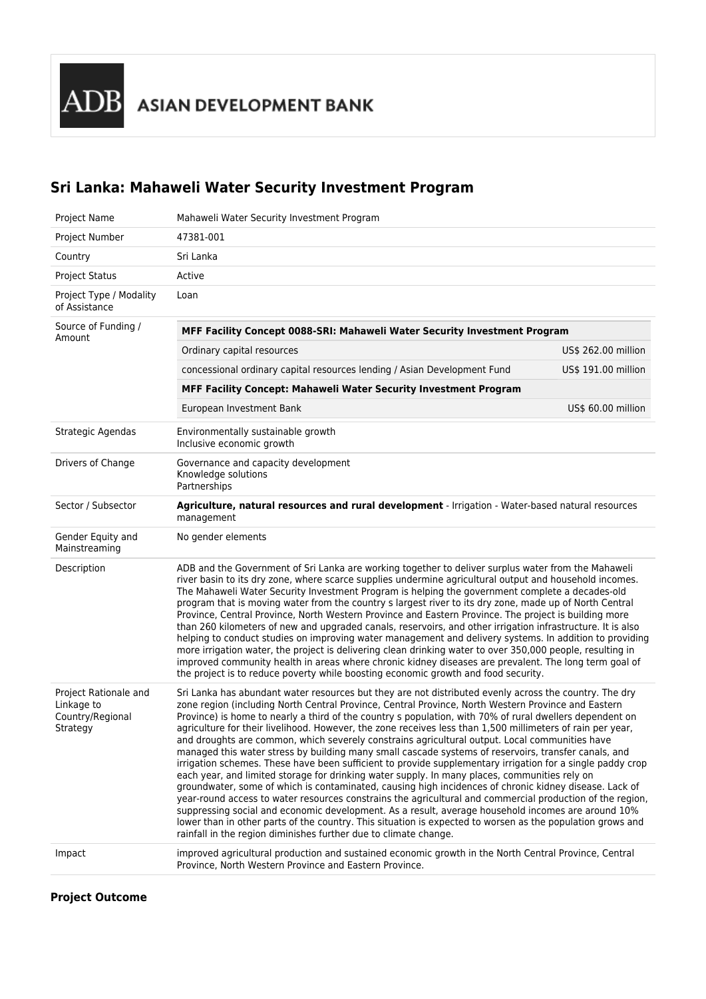ADB ASIAN DEVELOPMENT BANK

# **Sri Lanka: Mahaweli Water Security Investment Program**

| Project Name                                                        | Mahaweli Water Security Investment Program                                                                                                                                                                                                                                                                                                                                                                                                                                                                                                                                                                                                                                                                                                                                                                                                                                                                                                                                                                                                                                                                                                                                                                                                                                                                                                                                      |                     |  |
|---------------------------------------------------------------------|---------------------------------------------------------------------------------------------------------------------------------------------------------------------------------------------------------------------------------------------------------------------------------------------------------------------------------------------------------------------------------------------------------------------------------------------------------------------------------------------------------------------------------------------------------------------------------------------------------------------------------------------------------------------------------------------------------------------------------------------------------------------------------------------------------------------------------------------------------------------------------------------------------------------------------------------------------------------------------------------------------------------------------------------------------------------------------------------------------------------------------------------------------------------------------------------------------------------------------------------------------------------------------------------------------------------------------------------------------------------------------|---------------------|--|
| Project Number                                                      | 47381-001                                                                                                                                                                                                                                                                                                                                                                                                                                                                                                                                                                                                                                                                                                                                                                                                                                                                                                                                                                                                                                                                                                                                                                                                                                                                                                                                                                       |                     |  |
| Country                                                             | Sri Lanka                                                                                                                                                                                                                                                                                                                                                                                                                                                                                                                                                                                                                                                                                                                                                                                                                                                                                                                                                                                                                                                                                                                                                                                                                                                                                                                                                                       |                     |  |
| <b>Project Status</b>                                               | Active                                                                                                                                                                                                                                                                                                                                                                                                                                                                                                                                                                                                                                                                                                                                                                                                                                                                                                                                                                                                                                                                                                                                                                                                                                                                                                                                                                          |                     |  |
| Project Type / Modality<br>of Assistance                            | Loan                                                                                                                                                                                                                                                                                                                                                                                                                                                                                                                                                                                                                                                                                                                                                                                                                                                                                                                                                                                                                                                                                                                                                                                                                                                                                                                                                                            |                     |  |
| Source of Funding /<br>Amount                                       | MFF Facility Concept 0088-SRI: Mahaweli Water Security Investment Program                                                                                                                                                                                                                                                                                                                                                                                                                                                                                                                                                                                                                                                                                                                                                                                                                                                                                                                                                                                                                                                                                                                                                                                                                                                                                                       |                     |  |
|                                                                     | Ordinary capital resources                                                                                                                                                                                                                                                                                                                                                                                                                                                                                                                                                                                                                                                                                                                                                                                                                                                                                                                                                                                                                                                                                                                                                                                                                                                                                                                                                      | US\$ 262.00 million |  |
|                                                                     | concessional ordinary capital resources lending / Asian Development Fund                                                                                                                                                                                                                                                                                                                                                                                                                                                                                                                                                                                                                                                                                                                                                                                                                                                                                                                                                                                                                                                                                                                                                                                                                                                                                                        | US\$ 191.00 million |  |
|                                                                     | MFF Facility Concept: Mahaweli Water Security Investment Program                                                                                                                                                                                                                                                                                                                                                                                                                                                                                                                                                                                                                                                                                                                                                                                                                                                                                                                                                                                                                                                                                                                                                                                                                                                                                                                |                     |  |
|                                                                     | European Investment Bank                                                                                                                                                                                                                                                                                                                                                                                                                                                                                                                                                                                                                                                                                                                                                                                                                                                                                                                                                                                                                                                                                                                                                                                                                                                                                                                                                        | US\$ 60.00 million  |  |
| Strategic Agendas                                                   | Environmentally sustainable growth<br>Inclusive economic growth                                                                                                                                                                                                                                                                                                                                                                                                                                                                                                                                                                                                                                                                                                                                                                                                                                                                                                                                                                                                                                                                                                                                                                                                                                                                                                                 |                     |  |
| Drivers of Change                                                   | Governance and capacity development<br>Knowledge solutions<br>Partnerships                                                                                                                                                                                                                                                                                                                                                                                                                                                                                                                                                                                                                                                                                                                                                                                                                                                                                                                                                                                                                                                                                                                                                                                                                                                                                                      |                     |  |
| Sector / Subsector                                                  | Agriculture, natural resources and rural development - Irrigation - Water-based natural resources<br>management                                                                                                                                                                                                                                                                                                                                                                                                                                                                                                                                                                                                                                                                                                                                                                                                                                                                                                                                                                                                                                                                                                                                                                                                                                                                 |                     |  |
| Gender Equity and<br>Mainstreaming                                  | No gender elements                                                                                                                                                                                                                                                                                                                                                                                                                                                                                                                                                                                                                                                                                                                                                                                                                                                                                                                                                                                                                                                                                                                                                                                                                                                                                                                                                              |                     |  |
| Description                                                         | ADB and the Government of Sri Lanka are working together to deliver surplus water from the Mahaweli<br>river basin to its dry zone, where scarce supplies undermine agricultural output and household incomes.<br>The Mahaweli Water Security Investment Program is helping the government complete a decades-old<br>program that is moving water from the country s largest river to its dry zone, made up of North Central<br>Province, Central Province, North Western Province and Eastern Province. The project is building more<br>than 260 kilometers of new and upgraded canals, reservoirs, and other irrigation infrastructure. It is also<br>helping to conduct studies on improving water management and delivery systems. In addition to providing<br>more irrigation water, the project is delivering clean drinking water to over 350,000 people, resulting in<br>improved community health in areas where chronic kidney diseases are prevalent. The long term goal of<br>the project is to reduce poverty while boosting economic growth and food security.                                                                                                                                                                                                                                                                                                    |                     |  |
| Project Rationale and<br>Linkage to<br>Country/Regional<br>Strategy | Sri Lanka has abundant water resources but they are not distributed evenly across the country. The dry<br>zone region (including North Central Province, Central Province, North Western Province and Eastern<br>Province) is home to nearly a third of the country s population, with 70% of rural dwellers dependent on<br>agriculture for their livelihood. However, the zone receives less than 1,500 millimeters of rain per year,<br>and droughts are common, which severely constrains agricultural output. Local communities have<br>managed this water stress by building many small cascade systems of reservoirs, transfer canals, and<br>irrigation schemes. These have been sufficient to provide supplementary irrigation for a single paddy crop<br>each year, and limited storage for drinking water supply. In many places, communities rely on<br>groundwater, some of which is contaminated, causing high incidences of chronic kidney disease. Lack of<br>year-round access to water resources constrains the agricultural and commercial production of the region,<br>suppressing social and economic development. As a result, average household incomes are around 10%<br>lower than in other parts of the country. This situation is expected to worsen as the population grows and<br>rainfall in the region diminishes further due to climate change. |                     |  |
| Impact                                                              | improved agricultural production and sustained economic growth in the North Central Province, Central<br>Province, North Western Province and Eastern Province.                                                                                                                                                                                                                                                                                                                                                                                                                                                                                                                                                                                                                                                                                                                                                                                                                                                                                                                                                                                                                                                                                                                                                                                                                 |                     |  |

#### **Project Outcome**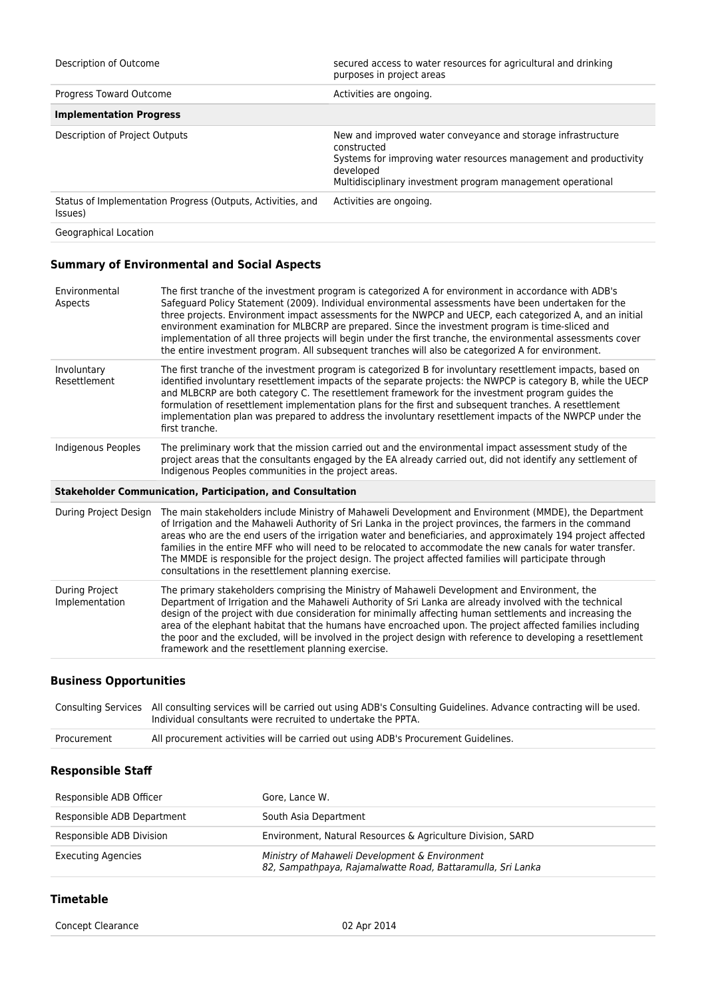| Description of Outcome                                                 | secured access to water resources for agricultural and drinking<br>purposes in project areas                                                                                                                                 |
|------------------------------------------------------------------------|------------------------------------------------------------------------------------------------------------------------------------------------------------------------------------------------------------------------------|
| Progress Toward Outcome                                                | Activities are ongoing.                                                                                                                                                                                                      |
| <b>Implementation Progress</b>                                         |                                                                                                                                                                                                                              |
| Description of Project Outputs                                         | New and improved water conveyance and storage infrastructure<br>constructed<br>Systems for improving water resources management and productivity<br>developed<br>Multidisciplinary investment program management operational |
| Status of Implementation Progress (Outputs, Activities, and<br>Issues) | Activities are ongoing.                                                                                                                                                                                                      |
| Geographical Location                                                  |                                                                                                                                                                                                                              |

### **Summary of Environmental and Social Aspects**

| Environmental<br>Aspects         | The first tranche of the investment program is categorized A for environment in accordance with ADB's<br>Safeguard Policy Statement (2009). Individual environmental assessments have been undertaken for the<br>three projects. Environment impact assessments for the NWPCP and UECP, each categorized A, and an initial<br>environment examination for MLBCRP are prepared. Since the investment program is time-sliced and<br>implementation of all three projects will begin under the first tranche, the environmental assessments cover<br>the entire investment program. All subsequent tranches will also be categorized A for environment. |
|----------------------------------|------------------------------------------------------------------------------------------------------------------------------------------------------------------------------------------------------------------------------------------------------------------------------------------------------------------------------------------------------------------------------------------------------------------------------------------------------------------------------------------------------------------------------------------------------------------------------------------------------------------------------------------------------|
| Involuntary<br>Resettlement      | The first tranche of the investment program is categorized B for involuntary resettlement impacts, based on<br>identified involuntary resettlement impacts of the separate projects: the NWPCP is category B, while the UECP<br>and MLBCRP are both category C. The resettlement framework for the investment program guides the<br>formulation of resettlement implementation plans for the first and subsequent tranches. A resettlement<br>implementation plan was prepared to address the involuntary resettlement impacts of the NWPCP under the<br>first tranche.                                                                              |
| Indigenous Peoples               | The preliminary work that the mission carried out and the environmental impact assessment study of the<br>project areas that the consultants engaged by the EA already carried out, did not identify any settlement of<br>Indigenous Peoples communities in the project areas.                                                                                                                                                                                                                                                                                                                                                                       |
|                                  | <b>Stakeholder Communication, Participation, and Consultation</b>                                                                                                                                                                                                                                                                                                                                                                                                                                                                                                                                                                                    |
| During Project Design            | The main stakeholders include Ministry of Mahaweli Development and Environment (MMDE), the Department<br>of Irrigation and the Mahaweli Authority of Sri Lanka in the project provinces, the farmers in the command<br>areas who are the end users of the irrigation water and beneficiaries, and approximately 194 project affected<br>families in the entire MFF who will need to be relocated to accommodate the new canals for water transfer.<br>The MMDE is responsible for the project design. The project affected families will participate through<br>consultations in the resettlement planning exercise.                                 |
| During Project<br>Implementation | The primary stakeholders comprising the Ministry of Mahaweli Development and Environment, the<br>Department of Irrigation and the Mahaweli Authority of Sri Lanka are already involved with the technical<br>design of the project with due consideration for minimally affecting human settlements and increasing the<br>area of the elephant habitat that the humans have encroached upon. The project affected families including<br>the poor and the excluded, will be involved in the project design with reference to developing a resettlement<br>framework and the resettlement planning exercise.                                           |

#### **Business Opportunities**

|             | Consulting Services All consulting services will be carried out using ADB's Consulting Guidelines. Advance contracting will be used.<br>Individual consultants were recruited to undertake the PPTA. |
|-------------|------------------------------------------------------------------------------------------------------------------------------------------------------------------------------------------------------|
| Procurement | All procurement activities will be carried out using ADB's Procurement Guidelines.                                                                                                                   |

### **Responsible Staff**

| Responsible ADB Officer    | Gore, Lance W.                                                                                                |
|----------------------------|---------------------------------------------------------------------------------------------------------------|
| Responsible ADB Department | South Asia Department                                                                                         |
| Responsible ADB Division   | Environment, Natural Resources & Agriculture Division, SARD                                                   |
| <b>Executing Agencies</b>  | Ministry of Mahaweli Development & Environment<br>82, Sampathpaya, Rajamalwatte Road, Battaramulla, Sri Lanka |

#### **Timetable**

Concept Clearance **02 Apr 2014**